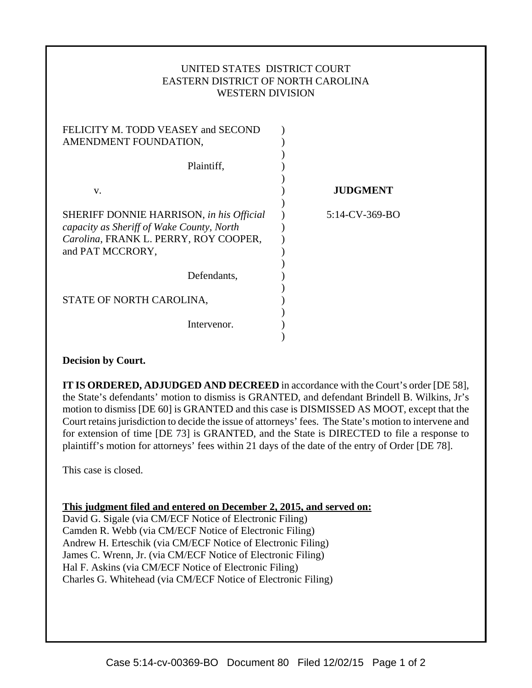## UNITED STATES DISTRICT COURT EASTERN DISTRICT OF NORTH CAROLINA WESTERN DIVISION

| FELICITY M. TODD VEASEY and SECOND<br>AMENDMENT FOUNDATION,                                                                                        |                 |
|----------------------------------------------------------------------------------------------------------------------------------------------------|-----------------|
| Plaintiff,                                                                                                                                         |                 |
| v.                                                                                                                                                 | <b>JUDGMENT</b> |
| SHERIFF DONNIE HARRISON, in his Official<br>capacity as Sheriff of Wake County, North<br>Carolina, FRANK L. PERRY, ROY COOPER,<br>and PAT MCCRORY, | 5:14-CV-369-BO  |
| Defendants,                                                                                                                                        |                 |
| STATE OF NORTH CAROLINA,                                                                                                                           |                 |
| Intervenor.                                                                                                                                        |                 |

## **Decision by Court.**

**IT IS ORDERED, ADJUDGED AND DECREED** in accordance with the Court's order [DE 58], the State's defendants' motion to dismiss is GRANTED, and defendant Brindell B. Wilkins, Jr's motion to dismiss [DE 60] is GRANTED and this case is DISMISSED AS MOOT, except that the Court retains jurisdiction to decide the issue of attorneys' fees. The State's motion to intervene and for extension of time [DE 73] is GRANTED, and the State is DIRECTED to file a response to plaintiff's motion for attorneys' fees within 21 days of the date of the entry of Order [DE 78].

This case is closed.

**This judgment filed and entered on December 2, 2015, and served on:**

David G. Sigale (via CM/ECF Notice of Electronic Filing) Camden R. Webb (via CM/ECF Notice of Electronic Filing) Andrew H. Erteschik (via CM/ECF Notice of Electronic Filing) James C. Wrenn, Jr. (via CM/ECF Notice of Electronic Filing) Hal F. Askins (via CM/ECF Notice of Electronic Filing) Charles G. Whitehead (via CM/ECF Notice of Electronic Filing)